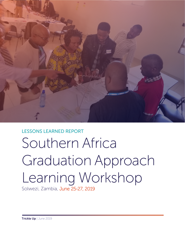

# LESSONS LEARNED REPORT Southern Africa Graduation Approach Learning Workshop Solwezi, Zambia, June 25-27, 2019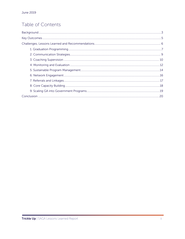## Table of Contents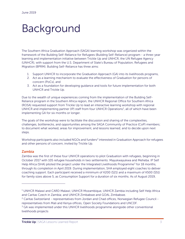## <span id="page-2-0"></span>Background

The Southern Africa Graduation Approach (SAGA) learning workshop was organized within the framework of the Building Self-Reliance for Refugees (Building Self-Reliance) program - a three-year learning and implementation initiative between Trickle Up and UNHCR, the UN Refugee Agency (UNHCR), with support from the U.S. Department of State's Bureau of Population, Refugees and Migration (BPRM). Building Self-Reliance has three aims:

- 1. Support UNHCR to incorporate the Graduation Approach (GA) into its livelihoods programs,
- 2. Act as a learning mechanism to evaluate the effectiveness of Graduation for persons of concern (PoCs), and
- 3. Act as a foundation for developing guidance and tools for future implementation for both UNHCR and Trickle Up.

Due to the wealth of unique experiences coming from the implementation of the Building Self-Reliance program in the Southern Africa region, the UNHCR Regional Office for Southern Africa (ROSA) requested support from Trickle Up to lead an interactive learning workshop with regional UNHCR and implementing partner (IP) staff from four UNHCR Operations<sup>[1](#page-2-1)</sup>, all of which have been implementing GA for six months or longer.

The goals of the workshop were to facilitate the discussion and sharing of the complexities, challenges, bottlenecks, and opportunities among the SAGA Community of Practice (CoP) members; to document what worked, areas for improvement, and lessons learned; and to decide upon next steps.

Workshop participants also included NGOs and funders<sup>[2](#page-2-2)</sup> interested in Graduation Approach for refugees and other persons of concern, invited by Trickle Up.

#### Zambia

 $\overline{a}$ 

Zambia was the first of these four UNHCR operations to pilot Graduation with refugees, beginning in October 2017 with 105 refugee households in two settlements: Mayukwayukwa and Meheba. IP Self Help Africa (SHA) piloted the project under the Integrated Livelihoods Programme<sup>[3](#page-2-3)</sup> for 18 months, through its completion in April 2019. During implementation, SHA employed eight coaches to deliver coaching support. Each participant received a minimum of K200 (\$21) and a maximum of K500 (\$51) for family sizes above 5, as Consumption Support for a duration of six months. As of August 2019,

<span id="page-2-1"></span><sup>&</sup>lt;sup>1</sup> UNHCR Malawi and CARD Malawi; UNHCR Mozambique, UNHCR Zambia including Self Help Africa and Caritas Czech in Zambia; and UNHCR Zimbabwe and GOAL Zimbabwe.

<span id="page-2-2"></span><sup>&</sup>lt;sup>2</sup> Caritas Switzerland - representatives from Jordan and Chad offices, Norwegian Refugee Council representatives from Mali and Kenya offices, Open Society Foundations and UNCDF.

<span id="page-2-3"></span> $3$  GA was implemented under this UNHCR livelihoods programme alongside other conventional livelihoods projects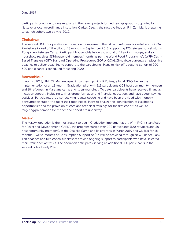participants continue to save regularly in the seven project-formed savings groups, supported by Natsave, a local microfinance institution. Caritas Czech, the new livelihoods IP in Zambia, is preparing to launch cohort two by mid-2019.

#### Zimbabwe

The second UNHCR operation in the region to implement the GA with refugees is Zimbabwe. IP GOAL Zimbabwe kicked off the pilot of 18 months in September 2018, supporting 125 refugee households in Tongogara Refugee Camp. Participant households belong to a total of 11 savings groups, and each household receives \$13/household member/month, as per the World Food Programme's (WFP) Cash-Based Transfers (CBT) Standard Operating Procedures (SOPs). GOAL Zimbabwe currently employs five coaches to deliver coaching to support to the participants. Plans to kick off a second cohort of 200- 300 participants is scheduled for spring 2020.

#### Mozambique

In August 2018, UNHCR Mozambique, in partnership with IP Kulima, a local NGO, began the implementation of an 18-month Graduation pilot with 118 participants (108 host community members and 10 refugees) in Maratane camp and its surroundings. To date, participants have received financial inclusion support, including savings group formation and financial education, and have begun savings activities. Participants are also receiving regular coaching and have been provided with monthly consumption support to meet their food needs. Plans to finalize the identification of livelihoods opportunities and the provision of core and technical trainings for the first cohort, as well as targeting/preparation for the second cohort are underway.

#### Malawi

The Malawi operation is the most recent to begin Graduation implementation. With IP Christian Action for Relief and Development (CARD), the program started with 200 participants (120 refugees and 80 host community members), at the Dzaleka Camp and its environs in March 2019 and will last for 18 months. Twelve months of Consumption Support of \$13 will be provided through New Finance Bank. Ten coaches and two coach supervisors provide ongoing support to participants who have selected their livelihoods activities. The operation anticipates serving an additional 200 participants in the second cohort early 2020.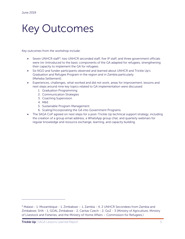# <span id="page-4-0"></span>Key Outcomes

Key outcomes from the workshop include:

- Seven UNHCR staff<sup>[4](#page-4-1)</sup>, two UNHCR seconded staff, five IP staff, and three government officials were (re-)introduced to the basic components of the GA adapted for refugees, strengthening their capacity to implement the GA for refugees.
- Six NGO and funder participants observed and learned about UNHCR and Trickle Up's Graduation and Refugee Program in the region and in Zambia particularly (Meheba Settlement).
- Experiences, challenges, what worked and did not work, areas for improvement, lessons and next steps around nine key topics related to GA implementation were discussed:
	- 1. Graduation Programming
	- 2. Communication Strategies
	- 3. Coaching Supervision
	- 4. M&E
	- 5. Sustainable Program Management
	- 6. Scaling/Incorporating the GA into Government Programs
- The SAGA CoP agreed on next steps for a post-Trickle Up technical support strategy, including the creation of a group email address, a WhatsApp group chat, and quarterly webinars for regular knowledge and resource exchange, learning, and capacity building.

 $\overline{a}$ 

<span id="page-4-1"></span><sup>4</sup> Malawi - 1, Mozambique - 1, Zimbabwe – 1, Zambia - 4; 2 UNHCR Secondees from Zambia and Zimbabwe; SHA - 1, GOAL Zimbabwe - 2, Caritas Czech - 2; GoZ - 3 (Ministry of Agriculture, Ministry of Livestock and Fisheries, and the Ministry of Home Affairs – Commission for Refugees.)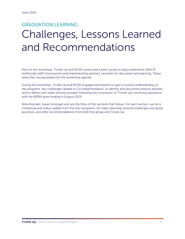## <span id="page-5-0"></span>GRADUATION LEARNING Challenges, Lessons Learned and Recommendations

Prior to this workshop, Trickle Up and ROSA conducted a brief survey to help understand UNHCR livelihoods staff's focal points and implementing partners' priorities for discussion and learning. These were then incorporated into the workshop agenda.

During the workshop, Trickle Up and ROSA engaged participants to gain a mutual understanding of the programs' key challenges related to GA implementation, to identify and document lessons learned, and to define next steps moving forward, following the conclusion of Trickle Up's technical assistance with the BPRM grant ending in August 2019.

Nine thematic issues emerged and are the titles of the sections that follow. For each section, we list a contextual and status update from the four programs, list major learnings around challenges and good practices, and offer recommendations from both the group and Trickle Up.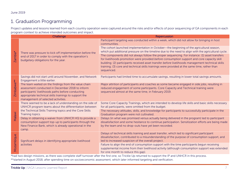## 1. Graduation Programming

Project updates and lessons learned from each country operation were captured around the risks and/or effects of poor sequencing of GA components in each program context to achieve intended outcomes and impact.

<span id="page-6-0"></span>

|            | Challenge                                                                                                                                                                                                                                                   | Repercussion                                                                                                                                                                                                                                                                                                                                                                                                    |
|------------|-------------------------------------------------------------------------------------------------------------------------------------------------------------------------------------------------------------------------------------------------------------|-----------------------------------------------------------------------------------------------------------------------------------------------------------------------------------------------------------------------------------------------------------------------------------------------------------------------------------------------------------------------------------------------------------------|
| Zambia*    |                                                                                                                                                                                                                                                             | Participant targeting was conducted within a week, which did not allow for bringing in host<br>communities.                                                                                                                                                                                                                                                                                                     |
|            | There was pressure to kick off implementation before the                                                                                                                                                                                                    | The cohort launched implementation in October-the beginning of the agricultural season,<br>which put additional pressure on the timeline due to the need to align with the agricultural cycle.                                                                                                                                                                                                                  |
|            | end of 2017 in order to comply with the operation's<br>budgetary obligations for the year.                                                                                                                                                                  | The components did not always follow the proper sequencing. For instance: (1) asset transfers<br>for livelihoods promotion were provided before consumption support and core capacity skill<br>building; (2) participants received asset transfer before livelihoods management technical skills<br>training; (3) core and technical skills trainings were provided at the same time, rather than<br>sequenced. |
| Zimbabwe** | Savings did not start until around November, and Network<br>Engagement a little earlier.                                                                                                                                                                    | Participants had limited time to accumulate savings, resulting in lower total savings amounts.                                                                                                                                                                                                                                                                                                                  |
|            | The team waited on the findings from the value chain<br>assessment conducted in December 2018 to inform<br>participants' livelihoods paths before conducting<br>appropriate technical skills trainings to support the<br>management of selected activities. | Major attrition of participants and coaches as some became engaged in side jobs, resulting in<br>reduced engagement of some participants. Core Capacity and Technical training were<br>sequenced almost at the same time, in February 2019.                                                                                                                                                                     |
| Malawi     | There seemed to be a lack of understanding on the side of<br>UNHCR program teams about the differentiation between                                                                                                                                          | Some Core Capacity Trainings, which are intended to develop life skills and basic skills necessary<br>for all participants, were omitted from the budget.                                                                                                                                                                                                                                                       |
|            | the Technical Skills Training topics and the Core Skills<br>Training topics.                                                                                                                                                                                | The necessary attitudes, skills, and knowledge for participants to successfully participate in the<br>Graduation program were not cultivated.                                                                                                                                                                                                                                                                   |
|            | Delay in obtaining a waiver from UNHCR HQ to provide a<br>consumption support top-up to participants through the<br>New Finance Bank, which is already operational in the<br>camp.                                                                          | Delays (in what was promised versus actually being delivered in the program) led to participant<br>dissatisfaction and some hesitance to continue participation. Sensitization efforts are being made<br>by the team and no drop-outs have yet been recorded.                                                                                                                                                   |
| Mozambique | Significant delays in identifying appropriate livelihood                                                                                                                                                                                                    | Delays of technical skills training and asset transfer, which led to significant participant<br>dissatisfaction, contributed to a misunderstanding of the purpose of consumption support, and<br>led to increased suspicion of the overall project.                                                                                                                                                             |
|            | activities                                                                                                                                                                                                                                                  | Failure to align the end of consumption support with the time participants begun receiving<br>supplemental income from their livelihood activity (although consumption support was extended<br>for one month to reduce this gap).                                                                                                                                                                               |
|            |                                                                                                                                                                                                                                                             |                                                                                                                                                                                                                                                                                                                                                                                                                 |

\*had two design missions, as there was complete staff turnover after the first one, so Trickle Up returned to support the IP and UNHCR in this process. \*\*started in August 2018, after spending time on socioeconomic assessment, which later informed targeting and verification.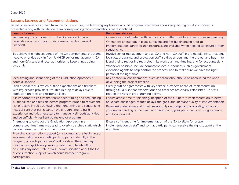#### Lessons Learned and Recommendations

Based on experiences drawn from the four countries, the following key lessons around program timeframes and/or sequencing of GA components, presented along with facilitation team corresponding recommendations, were identified:

| <b>Lessons Learned</b>                                                                                                             | <b>Recommendations</b>                                                                                                                                                       |
|------------------------------------------------------------------------------------------------------------------------------------|------------------------------------------------------------------------------------------------------------------------------------------------------------------------------|
| Sequencing of components for the Graduation Approach                                                                               | Operations should retain sufficient and committed staff to ensure proper sequencing                                                                                          |
| depends on access to appropriate resources (human and                                                                              | Operations should put in place sufficient and flexible financing prior to                                                                                                    |
| financial).                                                                                                                        | implementation launch so that resources are available when needed to ensure proper                                                                                           |
|                                                                                                                                    | sequencing.                                                                                                                                                                  |
| To achieve the right sequence of the GA components, programs                                                                       | Involve senior management and all GA and non-GA staff in project planning, including                                                                                         |
| need to prioritize buy-in from UNHCR senior management, GA                                                                         | logistics, programs, and protection staff, so they understand the project and buy-in to                                                                                      |
| and non-GA staff, and local authorities to keep things going                                                                       | it and their direct or indirect roles in its work plan and timeline, and for accountability.                                                                                 |
| smoothly.                                                                                                                          | Whenever possible, include competent local authorities such as government                                                                                                    |
|                                                                                                                                    | extension agents to help control the process, and to make sure we have the right                                                                                             |
|                                                                                                                                    | person at the right time.                                                                                                                                                    |
| Ideal timing and sequencing of the Graduation Approach is                                                                          | Key contextual considerations, such as seasonality, should be accounted for when                                                                                             |
| context-specific.                                                                                                                  | developing the project timeline.                                                                                                                                             |
| Lack of clear MoUs, which outline expectations and timelines                                                                       | Clearly outline agreements with key service providers ahead of implementation                                                                                                |
| with key service providers, resulted in project delays due to<br>confusion on roles and responsibilities.                          | through MOUs so that expectations and timelines are clearly established. This will                                                                                           |
|                                                                                                                                    | reduce the risks in programming delays.                                                                                                                                      |
| It is important to ensure that component timing and sequencing<br>is rationalized and feasible before program launch to reduce the | Ensure ample time for planning/inception of the GA before implementation to better<br>anticipate challenges, reduce delays and gaps, and increase quality of implementation. |
| risk of delays in roll out. Having the right timing and sequencing                                                                 |                                                                                                                                                                              |
| helps ensure that participants have enough time to build                                                                           | Base design decisions and timelines not only on budget and availability, but also on                                                                                         |
| experience and skills necessary to manage livelihoods activities                                                                   | your understanding of the Graduation Approach, your participants, existing evidence,<br>and local context.                                                                   |
| and be sufficiently resilient by the end of program.                                                                               |                                                                                                                                                                              |
| Attempting to conduct the Graduation Approach in a                                                                                 | Ensure sufficient time for implementation of the GA to allow for proper                                                                                                      |
| compressed timeframe may lead to overly stretched staff, which                                                                     | implementation by staff and so that participants can receive the right support at the                                                                                        |
| can decrease the quality of the programming.                                                                                       | right time.                                                                                                                                                                  |
| Providing consumption support (or a top-up) at the beginning of                                                                    |                                                                                                                                                                              |
| implementation allows participants to participate fully in the                                                                     |                                                                                                                                                                              |
| program, protects participants' livelihoods so they can begin                                                                      |                                                                                                                                                                              |
| minimal savings (develop savings habits), and heads off or                                                                         |                                                                                                                                                                              |
| dissuades any inaccurate or false communication about the loss                                                                     |                                                                                                                                                                              |
| of consumption support, which could hamper program                                                                                 |                                                                                                                                                                              |
| participation.                                                                                                                     |                                                                                                                                                                              |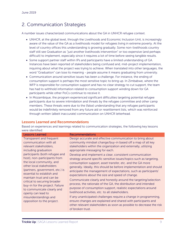## <span id="page-8-0"></span>2. Communication Strategies

A number issues characterized communications about the GA in UNHCR refugee context.

- UNHCR, at the global level, through the Livelihoods and Economic Inclusion Unit, is increasingly aware of the value of the GA as a livelihoods model for refugees living in extreme poverty. At the level of country offices this understanding is growing gradually. Some non-livelihoods country staff still see Graduation as "just another livelihoods intervention" or too expensive (and perhaps difficult) to implement, especially since it requires a lot of time before seeing tangible results.
- Some support partner staff within IPs and participants have a limited understanding of GA. Instances have been reported of stakeholders being confused and, mid-project implementation, inquiring about what the project was trying to achieve. When translated into other languages, the word "Graduation" can lose its meaning - people assume it means graduating from university.
- Communication around sensitive issues has been a challenge. For instance, the ending of consumption support is perhaps the most sensitive topic to bring up. In Zimbabwe, where the WFP is responsible for consumption support and has no clear strategy to cut support, the team has had to withhold information related to consumption support winding down for GA participants while other PoCs continue to receive it.
- In Mozambique, the program experienced significant difficulties targeting potential refugee participants due to severe intimidation and threats by the refugee committee and other camp members. These threats were due to the (false) understanding that any refugee participants would be indefinitely removed from any future aid or resettlement lists, which was reinforced through written (albeit inaccurate) communication on UNHCR letterhead.

#### Lessons Learned and Recommendations

Based on experiences and learnings related to communication strategies, the following key lessons were identified:

| <b>Lessons Learned</b>                                                                                                                                                                                                                                                                                                                                                                                                                                                                                     | <b>Recommendations</b>                                                                                                                                                                                                                                                                                                                                                                                                                                                                                                                                                                                                                                                                                                                                                                                                                                                                                                                                                                                                                                                                              |
|------------------------------------------------------------------------------------------------------------------------------------------------------------------------------------------------------------------------------------------------------------------------------------------------------------------------------------------------------------------------------------------------------------------------------------------------------------------------------------------------------------|-----------------------------------------------------------------------------------------------------------------------------------------------------------------------------------------------------------------------------------------------------------------------------------------------------------------------------------------------------------------------------------------------------------------------------------------------------------------------------------------------------------------------------------------------------------------------------------------------------------------------------------------------------------------------------------------------------------------------------------------------------------------------------------------------------------------------------------------------------------------------------------------------------------------------------------------------------------------------------------------------------------------------------------------------------------------------------------------------------|
| Transparent and frequent<br>communication with all<br>relevant stakeholders,<br>including graduation<br>participants (both refugee and<br>host), non-participants from<br>the local community, and<br>other local stakeholders<br>(partners, government, etc.) is<br>essential to establish and<br>maintain trust and can be<br>critical to securing broader<br>buy-in for the project. Failure<br>to communicate clearly and<br>openly can lead to<br>misunderstandings and<br>opposition to the project. | Design accurate and effective communication to bring about<br>community mindset change/buy-in based off a map of all key<br>stakeholders within the organization and externally, utilizing<br>appropriate messaging for each.<br>Develop and implement a clear, consistent communication<br>strategy around specific sensitive issues/topics such as targeting,<br>consumption support, asset transfer, etc. and the GA more<br>generally. Ideally, this should be before implementation and should<br>anticipate the management of expectations, such as participants'<br>expectations about the size and speed of change.<br>Communicate clearly and honestly around the targeting/selection<br>process, the rationale of the GA, the distribution and intended<br>purpose of consumption support, realistic expectations around<br>livelihood activities, etc. to all stakeholders.<br>If any unanticipated challenges require a change in programming,<br>ensure changes are explained and shared with participants and<br>other relevant stakeholders as soon as possible to decrease the risk |
|                                                                                                                                                                                                                                                                                                                                                                                                                                                                                                            | of broken trust.                                                                                                                                                                                                                                                                                                                                                                                                                                                                                                                                                                                                                                                                                                                                                                                                                                                                                                                                                                                                                                                                                    |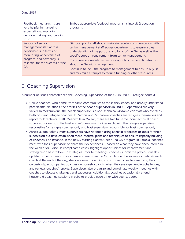| Feedback mechanisms are<br>very helpful in managing<br>expectations, improving<br>decision making, and building<br>trust.                                                   | Embed appropriate feedback mechanisms into all Graduation<br>programs.                                                                                                                                                                                                                                                                                                                                                                                                                       |
|-----------------------------------------------------------------------------------------------------------------------------------------------------------------------------|----------------------------------------------------------------------------------------------------------------------------------------------------------------------------------------------------------------------------------------------------------------------------------------------------------------------------------------------------------------------------------------------------------------------------------------------------------------------------------------------|
| Support of senior<br>management staff across<br>departments in terms of<br>monitoring, acceptance of<br>program, and advocacy is<br>essential for the success of the<br>GA. | GA focal point staff should maintain regular communication with<br>senior management staff across departments to ensure a clear<br>understanding of the purpose and logic of the GA, as well as the<br>specific support requirement from senior management.<br>Communicate realistic expectations, outcomes, and timeframes<br>about the GA with management.<br>Continue to "sell" the program to management to ensure buy-in<br>and minimize attempts to reduce funding or other resources. |

## <span id="page-9-0"></span>3. Coaching Supervision

A number of issues characterized the Coaching Supervision of the GA in UNHCR refugee context.

- Unlike coaches, who come from same communities as those they coach, and usually understand participants' situations, the profiles of the coach supervisors in UNHCR operations are very varied. In Mozambique, the coach supervisor is a non-technical Mozambican staff who oversees both host and refugee coaches. In Zambia and Zimbabwe, coaches are refugees themselves and report to IP technical staff. Meanwhile in Malawi, there are two full-time, non-technical coach supervisors, one from the host and refugee communities each, with the refugee supervisor responsible for refugee coaches only and host supervisor responsible for host coaches only.
- Across all operations, most supervisors have not been using specific processes or tools for their supervision but have established more informal plans and techniques to ensure capacity building of coaches. For instance, in the newly starting Caritas Czech-led GA program in Zambia, coaches meet with their supervisors to share their experiences – based on what they have encountered in the week prior - discuss complicated cases, highlight opportunities for improvement and strategize on best follow-up strategies. Prior to meetings, coaches submit the previous week's update to their supervisor via an excel spreadsheet. In Mozambique, the supervisor debriefs each coach at the end of the day, shadows select coaching visits to see if coaches are using their guide/tools, accompanies coaches on household visits when they are experiencing challenges, and reviews coaches' reports. Supervisors also organize and coordinate weekly meetings with coaches to discuss challenges and successes. Additionally, coaches occasionally attend household coaching sessions in pairs to provide each other with peer support.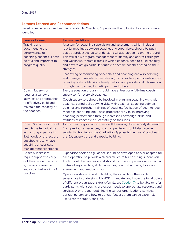#### Lessons Learned and Recommendations

Based on experiences and learnings related to Coaching Supervision, the following key lessons were identified:

| <b>Lessons Learned</b>                                                                                                                                                                        | <b>Recommendations</b>                                                                                                                                                                                                                                                                                                                                                                                                                                                                                                                                                                                                                                                                                                                                                                                                    |
|-----------------------------------------------------------------------------------------------------------------------------------------------------------------------------------------------|---------------------------------------------------------------------------------------------------------------------------------------------------------------------------------------------------------------------------------------------------------------------------------------------------------------------------------------------------------------------------------------------------------------------------------------------------------------------------------------------------------------------------------------------------------------------------------------------------------------------------------------------------------------------------------------------------------------------------------------------------------------------------------------------------------------------------|
| <b>Tracking and</b><br>documenting the<br>performance of<br>coaching/coaches is both<br>helpful and important to<br>program quality.                                                          | A system for coaching supervision and assessment, which includes<br>regular meetings between coaches and supervisors, should be put in<br>place at project set-up to understand what's happening on the ground.<br>This will allow program management to identify and address strengths<br>and weakness, thematic areas in which coaches need to build capacity,<br>and how to assign particular duties to specific coaches based on their<br>strengths.<br>Shadowing or monitoring of coaches and coaching can also help flag<br>and manage unrealistic expectations (from coaches, participants and/or<br>other key stakeholders) in a timely fashion and provide vital information,<br>through the coaches, to participants and others.                                                                                |
| Coach Supervision<br>requires a variety of<br>activities and approaches<br>to effectively build and<br>maintain the capacity of<br>the coaches.                                               | Every graduation program should have at least one full-time coach<br>supervisor for every 10 coaches.<br>Coach supervisors should be involved in planning coaching visits with<br>coaches, periodic shadowing visits with coaches, coaching debriefs,<br>trainings and refresher trainings of coaches, facilitation of peer-to-peer<br>meetings, reporting, etc. These processes are vital in improving<br>coaching performance through increased knowledge, skills, and<br>attitudes of coaches to successfully do their jobs.                                                                                                                                                                                                                                                                                           |
| Coach Supervisors do not<br>need to be technical staff<br>with strong expertise in<br>livelihoods or protection,<br>but should ideally have<br>coaching and/or case<br>management experience. | As the coaching supervision role will, however, likely be fairly different<br>from previous experiences, coach supervisors should also receive<br>substantial training on the Graduation Approach, the role of coaches in<br>the GA, supervision, and capacity building.                                                                                                                                                                                                                                                                                                                                                                                                                                                                                                                                                  |
| <b>Coach Supervisors</b><br>require support to carry<br>out their role and ensure<br>systematic assessment<br>and capacity-building of<br>coaches.                                            | Supervision tools and guidance should be developed and/or adapted for<br>each operation to provide a clearer structure for coaching supervision.<br>Tools should be hands-on and should include a supervisor work plan, a<br>matrix of key coaching skills/capacities, coach shadowing tools, and<br>assessment and feedback tools.<br>Operations should invest in building the capacity of the coach<br>supervisors to understand UNHCR's mandate, and know the focal points<br>of different organizations (for referrals, see Section 7) to be able to refer<br>participants with specific protection needs to appropriate resources and<br>services. A one-pager outlining the various organizations, services,<br>contact person, and how to contact/access them can be extremely<br>useful for the supervisor's job. |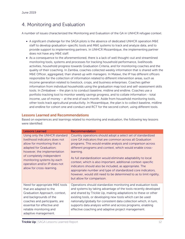## <span id="page-11-0"></span>4. Monitoring and Evaluation

A number of issues characterized the Monitoring and Evaluation of the GA in UNHCR refugee context.

- A significant challenge for the SAGA pilots is the absence of dedicated UNHCR operation M&E staff to develop graduation-specific tools and M&E systems to track and analyze data, and to provide support to implementing partners. In UNHCR Mozambique, the implementing partner does not have any M&E staff.
- As a consequence to the aforementioned, there is a lack of well thought-out and streamlined monitoring tools, systems and processes for tracking household performance, livelihoods activities, household progress towards Graduation Criteria, and for monitoring coaches and the quality of their coaching. In Zambia, coaches collected weekly information that is shared with the M&E Officer, aggregated, than shared up with managers. In Malawi, the IP has different officers responsible for the collection of information related to different intervention areas, such as income generation related to livestock, crops, and business enterprises. Coaches gather information from individual households using the graduation map tool and self-assessment skills tools. In Zimbabwe – the plan is to conduct baseline, midline and endline. Coaches use a portfolio tracking tool to monitor weekly savings progress, and to collate information - total income, use of money – at the end of each month. Aside from household monitoring tools, other tools track agricultural productivity. In Mozambique, the plan is to collect baseline, midline and endline for cohort one and conduct and RCT for the second cohort, using different tools.

#### Lessons Learned and Recommendations

Based on experiences and learnings related to monitoring and evaluation, the following key lessons were identified:

| <b>Lessons Learned</b>                                                                                                                                                                                                                                                            | Recommendation                                                                                                                                                                                                                                                                                                                                                                                                                                                                                                                                                                                                                    |
|-----------------------------------------------------------------------------------------------------------------------------------------------------------------------------------------------------------------------------------------------------------------------------------|-----------------------------------------------------------------------------------------------------------------------------------------------------------------------------------------------------------------------------------------------------------------------------------------------------------------------------------------------------------------------------------------------------------------------------------------------------------------------------------------------------------------------------------------------------------------------------------------------------------------------------------|
| Using only the UNHCR standard<br>livelihood indicators does not<br>allow for monitoring that is<br>adapted for Graduation;<br>however, the implementation<br>of completely independent<br>monitoring systems by each<br>operation and/or IP does not<br>allow for cross-learning. | Country operations should adopt a select set of standardized<br>core GA indicators that are common across all Graduation<br>programs. This would enable analysis and comparison across<br>different programs and context, which would enable cross-<br>learning.<br>As full standardization would eliminate adaptability to local<br>context, which is also important, additional context-specific<br>indicators should also be included, as appropriate. The<br>appropriate number and type of standardized core indicators,<br>however, would still need to be determined to as to limit rigidity,<br>but allow for comparison. |
| Need for appropriate M&E tools<br>that are adapted to the<br>Graduation Approach, context,<br>and backgrounds of the<br>coaches and participants, are<br>essential for effective and<br>reliable monitoring and<br>adaptive management.                                           | Operations should standardize monitoring and evaluation tools<br>and systems by taking advantage of the tools recently developed<br>and shared by Trickle Up, making adaptations to these or other<br>existing tools, or developing new tools which can be used<br>nationally/globally for consistent data collection which, in turn,<br>supports data analysis within and across programs, enabling<br>effective coaching and adaptive project management.                                                                                                                                                                       |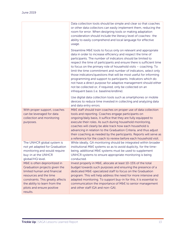|                                                                                                                                                                                                                                         | Data collection tools should be simple and clear so that coaches<br>or other data collectors can easily implement them, reducing the<br>room for error. When designing tools or making adaptation<br>consideration should include the literacy level of coaches- the<br>ability to easily comprehend and local language for effective<br>usage.                                                                                                                                                                                                                                                                                                                                                                               |
|-----------------------------------------------------------------------------------------------------------------------------------------------------------------------------------------------------------------------------------------|-------------------------------------------------------------------------------------------------------------------------------------------------------------------------------------------------------------------------------------------------------------------------------------------------------------------------------------------------------------------------------------------------------------------------------------------------------------------------------------------------------------------------------------------------------------------------------------------------------------------------------------------------------------------------------------------------------------------------------|
|                                                                                                                                                                                                                                         | Streamline M&E tools to focus only on relevant and appropriate<br>data in order to increase efficiency and respect the time of<br>participants. The number of indicators should be limited to<br>respect the time of participants and ensure there is sufficient time<br>to focus on the primary role of household visits - coaching. To<br>limit the time commitment and number of indicators, select only<br>those indicators/questions that will be most useful for informing<br>programming and support to participants. Indicators which do<br>not have a direct purpose for adaptive management should either<br>not be collected or, if required, only be collected on an<br>infrequent basis (i.e. baseline/endline). |
|                                                                                                                                                                                                                                         | Use digital data collection tools such as smartphones or mobile<br>devices to reduce time invested in collecting and analyzing data<br>and data entry errors.                                                                                                                                                                                                                                                                                                                                                                                                                                                                                                                                                                 |
| With proper support, coaches<br>can be leveraged for data<br>collection and monitoring<br>purposes.                                                                                                                                     | M&E staff should train coaches on proper use of data collection<br>tools and reporting. Coaches engage participants on<br>ongoing/daily basis, it suffice that they are fully equipped to<br>execute their roles. As such during household monitoring,<br>coaches will clearly be able track how each household is<br>advancing in relation to the Graduation Criteria, and thus adjust<br>their coaching as needed by the participants. Reports will serve as<br>a reference for the coach to review before each household visit.                                                                                                                                                                                            |
| The UNHCR global system is<br>not yet adapted for Graduation<br>monitoring and would require<br>buy-in at the UNHCR<br>global/HQ level.                                                                                                 | While ideally, GA monitoring should be integrated within broader<br>institutional M&E systems so as to avoid duplicity, for the time-<br>being, additional M&E systems must be used to supplement<br>UNHCR systems to ensure appropriate monitoring is being<br>conducted.                                                                                                                                                                                                                                                                                                                                                                                                                                                    |
| M&E is often deprioritized in<br>Graduation projects given the<br>limited human and financial<br>resources and the time<br>constraints. This greatly affects<br>the ability to learn from the<br>pilots and ensure positive<br>results. | Invest properly in M&E, allocate at least 10-15% of the total<br>budget towards such purposes and ensuring the presence of a<br>dedicated M&E-specialized staff to focus on the Graduation<br>program. This will help address the need for more intensive and<br>adapted monitoring. To support buy-in for this, it is essential to<br>communication the importance of M&E to senior management<br>and other staff (GA and non-GA).                                                                                                                                                                                                                                                                                           |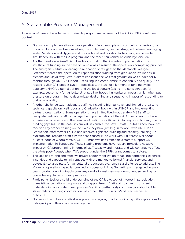### <span id="page-13-0"></span>5. Sustainable Program Management

A number of issues characterized sustainable program management of the GA in UNHCR refugee context.

- Graduation implementation across operations faced multiple and competing organizational priorities. In countries like Zimbabwe, the implementing partner struggled between managing Water, Sanitation and Hygiene and conventional livelihoods activities being implemented simultaneously with the GA program, and the recent humanitarian crisis (cyclone Idai).
- Another hurdle was insufficient livelihoods funding that impedes implementation. This insufficienct funding, in the case of Zambia was a result of the operation's competing priorities. The emergency situation leading to relocation of refugees to the Mantapala Refugee Settlement forced the operation to reprioritization funding from graduation livelihoods in Meheba and Mayukwayukwa. A direct consequence was that graduation was funded for 6 months through UNHCR support – resulting in a compromise to continuity and quality. Also related is UNHCR's budget cycle – specifically, the lack of alignment of funding cycles *between* UNHCR, external donors, and the local context (taking into consideration, for example, seasonality for agricultural related livelihoods, humanitarian needs), which often put pressure on programming to deprioritize ideal timing and sequencing in favor of responding to budget availability.
- Another challenge was inadequate staffing, including high turnover and limited pre-existing technical capacity on livelihoods and Graduation, both within UNHCR and implementing partners' organizations. Some operations have limited livelihoods and/or M&E staff to designate dedicated staff to manage the implementation of the GA. Other operations have experienced a reduction in the number of livelihoods officers, including down to zero, due to funding gaps (as it is the case in Zambia). In Zambia, the new IP staff (Caritas Czech) have not received any proper training on the GA as they have just begun to work with UNHCR on Graduation (after former IP SHA had received significant training and capacity-building). In Mozambique, repeated staff turnover has caused TU to work with 4 different livelihoods officers, none of whom remain. GOAL Zimbabwe had limited field staff to support GA implementation in Tongogara. These staffing problems have had an immediate negative impact on GA programming in terms of staff capacity and morale, and will continue to affect the pilots post-August, when TU's support under the BPRM grant comes to a close.
- The lack of a strong and effective private sector mobilization to tap into companies' expertise, incentive and capacity to link refugees with the market, to formal financial services, and potentially to large plots for agricultural production, etc. remains a challenge to address. The Malawian operation has so far pursued a process of linking GA participants engaged in soya beans production with Soyola company- and a formal memorandum of understanding to guarantee equitable business practices.
- Participants' lack of a solid understanding of the GA led to lack of interest in participation, unrealistic expectations, dropouts and disappointment. Staff and coaches' insufficient understanding also undermined program's ability to effectively communicate about GA to stakeholders including coordination with other UNHCR units to/and reach expected outcomes.
- Not enough emphasis or effort was placed on regular, quality monitoring with implications for data quality and thus adaptive management.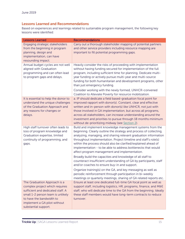#### Lessons Learned and Recommendations

Based on experiences and learnings related to sustainable program management, the following key lessons were identified:

| <b>Lessons Learned</b>                                                                                                                                                                                                       | <b>Recommendations</b>                                                                                                                                                                                                                                                                                                                                                                                                                                                                                                                                                                                                                                                                                                                                                                                                                            |
|------------------------------------------------------------------------------------------------------------------------------------------------------------------------------------------------------------------------------|---------------------------------------------------------------------------------------------------------------------------------------------------------------------------------------------------------------------------------------------------------------------------------------------------------------------------------------------------------------------------------------------------------------------------------------------------------------------------------------------------------------------------------------------------------------------------------------------------------------------------------------------------------------------------------------------------------------------------------------------------------------------------------------------------------------------------------------------------|
| Engaging strategic stakeholders<br>from the beginning in program<br>planning, design and<br>implementation, can have<br>resounding impact.                                                                                   | Carry out a thorough stakeholder mapping of potential partners<br>and other service providers including resource mapping are<br>important to fill potential programming gaps.                                                                                                                                                                                                                                                                                                                                                                                                                                                                                                                                                                                                                                                                     |
| Annual budget cycles are not well<br>aligned with Graduation<br>programming and can often lead<br>to program gaps and delays.                                                                                                | Heavily consider the risks of proceeding with implementation<br>without having funding secured for implementation of the full<br>program, including sufficient time for planning. Dedicate multi-<br>year funding or actively pursue multi-year and multi-source<br>funding for both humanitarian and development programs, other<br>than just emergency funding.<br>Consider working with the newly formed, UNHCR-convened                                                                                                                                                                                                                                                                                                                                                                                                                       |
| It is essential to help the donor to<br>understand the unique challenges<br>of the Graduation Approach and<br>any reasons for changes or<br>delays.                                                                          | Coalition to Alleviate Poverty for resource mobilization.<br>a. IP should dedicate a field based-graduation focal point for<br>improved rapport with donor(s). Constant, clear and effective<br>written and in-person with donor(s) like UNHCR, not just with<br>those involved in GA implementation, but across all programs,<br>across all stakeholders, can increase understanding around the<br>investment and priorities to pursue through 18 months minimum<br>without de-prioritizing midway (see Section 2).                                                                                                                                                                                                                                                                                                                              |
| High staff turnover often leads to<br>loss of program knowledge and<br>Graduation expertise, limited<br>continuity of programming, and<br>gaps.                                                                              | Build and implement knowledge management systems from the<br>beginning. Clearly outline the strategy and process of collecting,<br>analyzing, managing, and sharing relevant graduation information<br>throughout implementation. Project timeline and staff's role(s)<br>within the process should also be clarified/explained ahead of<br>implementation - to be able to address bottlenecks that would<br>affect program management and implementation.<br>Broadly build the capacities and knowledge of all staff to<br>counteract insufficient understanding of GA by participants, staff<br>and/or coaches to ensure buy-in and support.<br>Organize training(s) on the GA, and key messaging as well as<br>periodic reinforcement through participation in bi-weekly<br>meetings or quarterly meetings, sharing of GA related reports etc. |
| The Graduation Approach is a<br>complex project which requires<br>sufficient and dedicated staff. A<br>small 1-2 person team is unlikely<br>to have the bandwidth to<br>implement a GA pilot without<br>substantial support. | Ensure at least one dedicated full-time GA focal point as well as<br>support staff, including logistics, HR, programs, finance, and M&E<br>staff, who will dedicate time to the GA from the beginning. Ideally<br>these staff members would have long-term contracts to reduce<br>turnover.                                                                                                                                                                                                                                                                                                                                                                                                                                                                                                                                                       |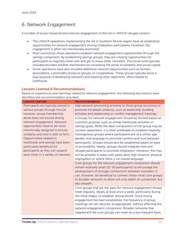## <span id="page-15-0"></span>6. Network Engagement

A number of issues characterized network engagement of the GA in UNHCR refugee context:

- The UNHCR operations implementing the GA in Southern African region have all established opportunities for network engagement among Graduation participants. However, this engagement is often not intentionally promoted.
- Most commonly, these operations establish network engagement opportunities through the savings component. By establishing savings groups, they are creating opportunities for participants to regularly meet with and get to know other members. The social fund typically included provides another mechanism for increasing the sense of solidarity and social capital.
- Some operations have also included additional network opportunities such as farmers associations, commodity producer groups, or cooperatives. These groups typically serve a dual purpose of developing networks and meeting other objectives, often related to livelihoods.

#### Lessons Learned & Recommendations

Based on experiences and learnings related to network engagement, the following key lessons were identified and recommendation provided:

| <b>Lessons Learned</b>                | Recommendation                                                     |
|---------------------------------------|--------------------------------------------------------------------|
| Participants are typically placed in  | Add network-promoting activities to these group structures to      |
| various groups through the GA;        | promote increased solidarity, such as leadership-building          |
| however, group membership             | activities and relationship or conflict management trainings.      |
| alone does not ensure strong          | a. Groups for network engagement should be formed based on         |
| network engagement. Network           | common purpose, such as similar livelihoods activities or          |
| opportunities need to be more         | savings goals. While the ideal composition of the group may be     |
| intentionally designed to ensure      | context-dependent, it is often preferable to establish relatively  |
| solidarity and trust is able to form. | homogenous groups where participants are of a similar age,         |
| Opportunities related to              | gender, and language to promote comfort and trust between          |
| livelihoods and savings have been     | participants. Groups should also be established based on ease      |
| particularly beneficial for           | of accessibility. Ideally, groups should integrate host and        |
| participants as they can support      | refugee participants to promote integration. However, this may     |
| each other in a variety of manners.   | not be possible in areas with particularly high tensions, physical |
|                                       | segregation or where there is no shared language.                  |
|                                       | Core groups for the network engagement component should            |
|                                       | remain relatively small (15-20 participants) to encourage the      |
|                                       | development of stronger connections between members. It            |
|                                       | can, however, be beneficial to connect these small core groups     |
|                                       | to broader networks to allow not only depth of connection, but     |
|                                       | also breadth.                                                      |
|                                       | Core groups that are the basis for network engagement should       |
|                                       | meet regularly, ideally at least once a week, particularly during  |
|                                       | the initial stages, to establish strong bonds. Once strong         |
|                                       | engagement has been established, the frequency of group            |
|                                       | meetings can be reduced, as appropriate, without affecting the     |
|                                       | network engagement component. Broader networks that                |
|                                       | supplement the core groups can meet on a less frequent basis.      |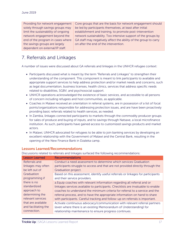Providing for network engagement solely through savings groups may limit the sustainability of ongoing network engagement beyond the end of the program in cases where the savings groups are largely dependent on external/IP staff.

Core groups that are the basis for network engagement should be led by participants themselves, at least after initial establishment and training, to promote post-intervention network sustainability. Too intensive support of the groups by GA staff may negatively affect the ability of the group to carry on after the end of the intervention.

## <span id="page-16-0"></span>7. Referrals and Linkages

A number of issues were discussed about GA referrals and linkages in the UNHCR refugee context:

- Participants discussed what is meant by the term "Referrals and Linkages" to strengthen their understanding of the component. This component is meant to link participants to available and appropriate support services to help address protection and/or market needs and concerns, such as legal documentation, business licenses, health clinics, services that address specific needs related to disabilities, SGBV, and psychosocial support.
- UNHCR operations acknowledged the existence of basic services, and accessible to all persons of concern including refugees and host communities, as applicable.
- Coaches in Malawi received an orientation in referral systems, are in possession of a list of focal points/organizations responsible for addressing protection issues, and are have been proactively providing basic referrals related to health services, as needed.
- In Zambia, linkages connected participants to markets through the commodity producer groups for sales of produce and buying of inputs, and to savings through Natsave, a local microfinance institution. As such, participants have gained access to customized savings products and market actors.
- In Malawi, UNHCR advocated for refugees to be able to join banking services by developing an excellent relationship with the Government of Malawi and the Central Bank, resulting in the opening of the New Finance Bank in Dzaleka camp.

#### Lessons Learned/Recommendations

Discussions related to referrals and linkages surfaced the following recommendations:

| <b>Lesson Learned</b> | <b>Recommendations</b>                                                           |
|-----------------------|----------------------------------------------------------------------------------|
| Referrals and         | Conduct a need assessment to determine which services Graduation                 |
| linkages may often    | participants struggle to access and that are not provided directly through the   |
| be left out of        | Graduation project.                                                              |
| Graduation            | Based on this assessment, identify useful referrals or linkages for participants |
| programming if        | and their service providers.                                                     |
| there is no           | a Equip coaches with relevant information regarding all referral and or          |
| standardized          | linkages services available to participants. Checklists are invaluable to enable |
| approach to           | coaches to understand the minimum criteria for referral to a service and the     |
| determining the       | referral process, and to have the appropriate information on hand to share       |
| relevant services     | with participants. Careful tracking and follow-up on referrals is important.     |
| that are available    | Activate continuous advocacy/communication with relevant referral partners       |
| and facilitating the  | (even where there is an existing Memorandum of Understanding) for                |
| connection.           | relationship maintenance to ensure progress continues.                           |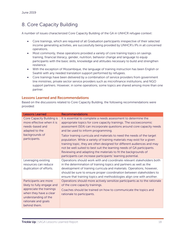## <span id="page-17-0"></span>8. Core Capacity Building

A number of issues characterized Core Capacity Building of the GA in UNHCR refugee context:

- Core trainings, which are required of all Graduation participants irrespective of their selected income generating activities, are successfully being provided by UNHCR's IPs in all concerned operations.
- Most commonly, these operations provided a variety of core training topics on savings training, financial literacy, gender, nutrition, behavior change and language to equip participants with the basic skills, knowledge and attitudes necessary to build and strengthen resilience.
- With the exception of Mozambique, the language of training instruction has been English or Swahili with any needed translation support performed by refugees.
- Core trainings have been delivered by a combination of service providers from government line ministries, private sector service providers such as microfinance institutions, and NGO support partners. However, in some operations, some topics are shared among more than one partner.

#### Lessons Learned and Recommendations

Based on the discussions related to Core Capacity Building, the following recommendations were provided:

| <b>Lessons Learned</b>                                                                                            | <b>Recommendations</b>                                                                                                                                                                                                                                                                                                                                                                                                                   |
|-------------------------------------------------------------------------------------------------------------------|------------------------------------------------------------------------------------------------------------------------------------------------------------------------------------------------------------------------------------------------------------------------------------------------------------------------------------------------------------------------------------------------------------------------------------------|
| <b>Core Capacity Building is</b><br>more effective when it is<br>needs-based and<br>adapted to the                | It is essential to complete a needs assessment to determine the<br>appropriate topics for core capacity trainings. The socioeconomic<br>assessment (SEA) can incorporate questions around core capacity needs<br>and be used to inform programming.                                                                                                                                                                                      |
| backgrounds of<br>participants.                                                                                   | Tailor training curricula and materials to need the needs of the target<br>population. While a variety of training materials may exist for a given<br>training topic, they are often designed for different audiences and may<br>not be well suited to best suit the learning needs of GA participants.<br>Reviewing and adapting the materials to fit the backgrounds of<br>participants can increase participants' learning potential. |
| Leveraging existing                                                                                               | Operations should work with and coordinate relevant stakeholders both                                                                                                                                                                                                                                                                                                                                                                    |
| resources can reduce                                                                                              | in the determination of training topics and partners as well as the                                                                                                                                                                                                                                                                                                                                                                      |
| duplication of efforts.                                                                                           | development of training curricula and materials. Operations, however,<br>should be sure to ensure proper coordination between stakeholders to<br>ensure that training topics and methodologies align one with another.                                                                                                                                                                                                                   |
| Participants are more                                                                                             | Operations should more actively sensitize participants as to the rationale                                                                                                                                                                                                                                                                                                                                                               |
| likely to fully engage and                                                                                        | of the core capacity trainings.                                                                                                                                                                                                                                                                                                                                                                                                          |
| appreciate the trainings<br>when they have a clear<br>understanding of the<br>rationale and goals<br>behind them. | Coaches should be trained on how to communicate the topics and<br>rationale to participants.                                                                                                                                                                                                                                                                                                                                             |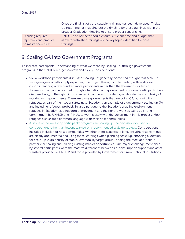|                         | Once the final list of core capacity trainings has been developed, Trickle |  |
|-------------------------|----------------------------------------------------------------------------|--|
|                         | Up recommends mapping out the timeline for these trainings within the      |  |
|                         | broader Graduation timeline to ensure proper sequencing.                   |  |
| Learning requires       | UNHCR and partners should ensure sufficient time and budget that           |  |
| repetition and practice | allow for refresher trainings on the key topics identified for core        |  |
| to master new skills.   | trainings.                                                                 |  |

### <span id="page-18-0"></span>9. Scaling GA into Government Programs

To increase participants' understanding of what we mean by "scaling up" through government programs in the UNHCR refugee context and its key considerations:

- SAGA workshop participants discussed "scaling up" generally. Some had thought that scale up was synonymous with simply expanding the project through implementing with additional cohorts, reaching a few hundred more participants rather than the thousands, or tens of thousands that can be reached through integration with government programs. Participants then discussed why, in the right circumstances, it can be an important goal despite the complexity of working with governments. There are some governments that are doing GA, but not with refugees, as part of their social safety nets. Ecuador is an example of a government scaling up GA and including refugees, probably in large part due to the Ecuador's enabling environment – refugees in Ecuador have freedom of movement and the right to work as well as a strong commitment by UNHCR and IP HIAS to work closely with the government in this process. Most refugees also share a common language with their host communities.
- As none of the workshop participants' programs are scaling up, the discussion focused on considerations rather than lessons learned or a recommended scale up strategy. Considerations included inclusion of host communities, whether there is access to land, ensuring that learnings are clearly documented and using those learnings when planning scale-up, choosing a location for scale-up (high density of stable, low mobility target group), finding the most appropriate partners for scaling and utilizing existing market opportunities. One major challenge mentioned by several participants were the massive differences between i.e. consumption support and asset transfers provided by UNHCR and those provided by Government or similar national institutions.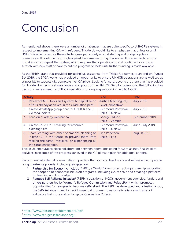## <span id="page-19-0"></span>Conclusion

As mentioned above, there were a number of challenges that are quite specific to UNHCR's systems in respect to implementing GA with refugees. Trickle Up would like to emphasize that unless or until UNHCR is able to resolve these challenges– particularly around staffing and budget cycles operations will continue to struggle against the same recurring challenges. It is essential to ensure mistakes do not repeat themselves, which requires that operations do not continue to start from scratch with new staff or have to put the program on hold until further funding is made available.

As the BPRM grant that provided for technical assistance from Trickle Up comes to an end on August 31<sup>st</sup> 2019, the SAGA workshop provided an opportunity to ensure UNHCR operations are as well set up as possible to successfully complete their GA pilots. Looking forward, beyond the grant that has provided for Trickle Up's technical assistance and support of the UNHCR GA pilot operations, the following key decisions were agreed by UNHCR operations for ongoing support in the SAGA CoP:

| <b>Activity</b> |                                                                                                                                                                                  | Lead                                        | Date             |
|-----------------|----------------------------------------------------------------------------------------------------------------------------------------------------------------------------------|---------------------------------------------|------------------|
| 1 <sup>1</sup>  | Review of M&E tools and systems to capitalize on<br>efforts already achieved in the Graduation pilot.                                                                            | Justice Machingura,<br><b>GOAL Zimbabwe</b> | <b>July 2019</b> |
|                 | 2. Create WhatsApp group chat for UNHCR and IP<br>GA focal points                                                                                                                | Richmond Msowoya,<br><b>UNHCR Malawi</b>    | <b>July 2019</b> |
|                 | 3. Lead on quarterly webinar call                                                                                                                                                | George Oduor,<br><b>UNHCR Zambia</b>        | September 2019   |
|                 | 4. Create SAGA CoP emailing for resource<br>exchange etc.                                                                                                                        | Richmond Msowoya,<br><b>UNHCR Malawi</b>    | June-July 2019   |
|                 | 5. Share learning with other operations planning to<br>initiate GA in the future, to prevent them from<br>making the same "mistakes" or experiencing all<br>the same challenges. | Line Pedersen,<br><b>UNHCR HQ</b>           | August 2019      |

Trickle Up encourages close collaboration between operations going forward as they finalize pilot activities, take stock of the progress achieved in the GA pilots to plan for additional cohorts.

Recommended external communities of practice that focus on livelihoods and self-reliance of people living in extreme poverty, including refugees are:

- 1. [Partnership for Economic Inclusion](https://eur02.safelinks.protection.outlook.com/?url=https%3A%2F%2Fwww.jobsanddevelopment.org%2Fpei%2F&data=02%7C01%7Coduor%40unhcr.org%7C49fb7d5df5d9402aaf8508d70c808b7b%7Ce5c37981666441348a0c6543d2af80be%7C0%7C0%7C636991618880701504&sdata=GT7CgPCOsHso4tV58LkwLiPidLgKt1y7mKAVXBPECbQ%3D&reserved=0)<sup>[5](#page-19-1)</sup> (PEI), a World Bank-hosted global partnership supporting the adoption of economic inclusion programs, including GA, at scale and creating a platform for learning and knowledge.
- 2. [Refugee Self Reliance Initiative](https://eur02.safelinks.protection.outlook.com/?url=https%3A%2F%2Fwww.refugeeselfreliance.org%2F&data=02%7C01%7Coduor%40unhcr.org%7C49fb7d5df5d9402aaf8508d70c808b7b%7Ce5c37981666441348a0c6543d2af80be%7C0%7C0%7C636991618880701504&sdata=lWFt4jbT7eUAAdBvozyk4C7wS392sp0DcRWRKwu4ntI%3D&reserved=0)<sup>[6](#page-19-2)</sup> (RSRI), a coalition of NGOs, government agencies, funders and others partners led by Women's Refugee Commission and RefugePoint which promotes opportunities for refugees to become self-reliant. The RSRI has developed and is testing a tool, the Self-Reliance Index, to track household progress towards self-reliance with a set of indicators that closely align to typical Graduation Criteria.

 $\overline{a}$ 

<span id="page-19-1"></span><sup>5</sup> <https://www.jobsanddevelopment.org/pei/>

<span id="page-19-2"></span><sup>6</sup> <https://www.refugeeselfreliance.org/>